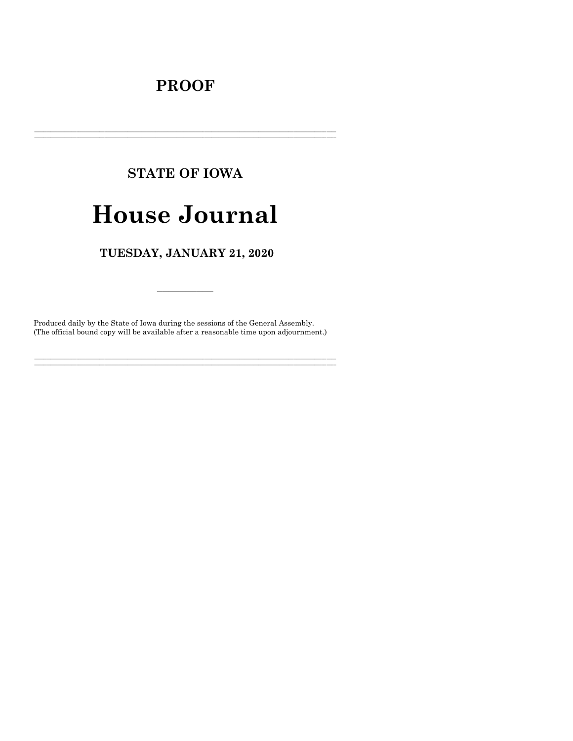## **PROOF**

# **STATE OF IOWA**

## **House Journal**

## TUESDAY, JANUARY 21, 2020

Produced daily by the State of Iowa during the sessions of the General Assembly. (The official bound copy will be available after a reasonable time upon adjournment.)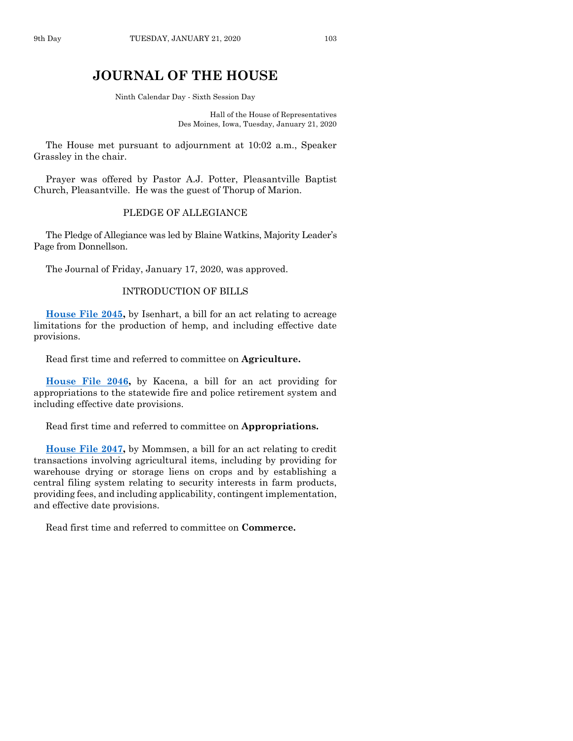### **JOURNAL OF THE HOUSE**

Ninth Calendar Day - Sixth Session Day

Hall of the House of Representatives Des Moines, Iowa, Tuesday, January 21, 2020

The House met pursuant to adjournment at 10:02 a.m., Speaker Grassley in the chair.

Prayer was offered by Pastor A.J. Potter, Pleasantville Baptist Church, Pleasantville. He was the guest of Thorup of Marion.

#### PLEDGE OF ALLEGIANCE

The Pledge of Allegiance was led by Blaine Watkins, Majority Leader's Page from Donnellson.

The Journal of Friday, January 17, 2020, was approved.

#### INTRODUCTION OF BILLS

**[House File 2045,](https://www.legis.iowa.gov/legislation/BillBook?ga=88&ba=HF2045)** by Isenhart, a bill for an act relating to acreage limitations for the production of hemp, and including effective date provisions.

Read first time and referred to committee on **Agriculture.**

**[House File 2046,](https://www.legis.iowa.gov/legislation/BillBook?ga=88&ba=HF2046)** by Kacena, a bill for an act providing for appropriations to the statewide fire and police retirement system and including effective date provisions.

Read first time and referred to committee on **Appropriations.**

**[House File 2047,](https://www.legis.iowa.gov/legislation/BillBook?ga=88&ba=HF2047)** by Mommsen, a bill for an act relating to credit transactions involving agricultural items, including by providing for warehouse drying or storage liens on crops and by establishing a central filing system relating to security interests in farm products, providing fees, and including applicability, contingent implementation, and effective date provisions.

Read first time and referred to committee on **Commerce.**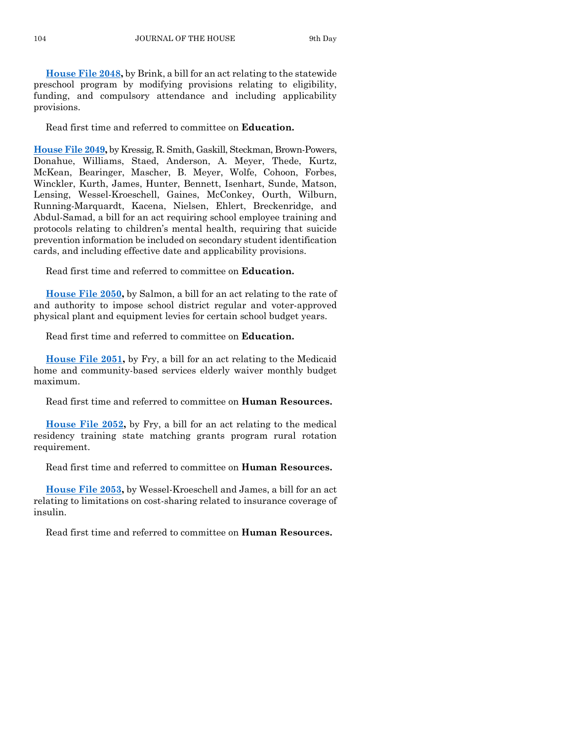**[House File 2048,](https://www.legis.iowa.gov/legislation/BillBook?ga=88&ba=HF2048)** by Brink, a bill for an act relating to the statewide preschool program by modifying provisions relating to eligibility, funding, and compulsory attendance and including applicability provisions.

Read first time and referred to committee on **Education.**

**[House File 2049,](https://www.legis.iowa.gov/legislation/BillBook?ga=88&ba=HF2049)** by Kressig, R. Smith, Gaskill, Steckman, Brown-Powers, Donahue, Williams, Staed, Anderson, A. Meyer, Thede, Kurtz, McKean, Bearinger, Mascher, B. Meyer, Wolfe, Cohoon, Forbes, Winckler, Kurth, James, Hunter, Bennett, Isenhart, Sunde, Matson, Lensing, Wessel-Kroeschell, Gaines, McConkey, Ourth, Wilburn, Running-Marquardt, Kacena, Nielsen, Ehlert, Breckenridge, and Abdul-Samad, a bill for an act requiring school employee training and protocols relating to children's mental health, requiring that suicide prevention information be included on secondary student identification cards, and including effective date and applicability provisions.

Read first time and referred to committee on **Education.**

**[House File 2050,](https://www.legis.iowa.gov/legislation/BillBook?ga=88&ba=HF2050)** by Salmon, a bill for an act relating to the rate of and authority to impose school district regular and voter-approved physical plant and equipment levies for certain school budget years.

Read first time and referred to committee on **Education.**

**[House File 2051,](https://www.legis.iowa.gov/legislation/BillBook?ga=88&ba=HF2051)** by Fry, a bill for an act relating to the Medicaid home and community-based services elderly waiver monthly budget maximum.

Read first time and referred to committee on **Human Resources.**

**[House File 2052,](https://www.legis.iowa.gov/legislation/BillBook?ga=88&ba=HF2052)** by Fry, a bill for an act relating to the medical residency training state matching grants program rural rotation requirement.

Read first time and referred to committee on **Human Resources.**

**[House File 2053,](https://www.legis.iowa.gov/legislation/BillBook?ga=88&ba=HF2053)** by Wessel-Kroeschell and James, a bill for an act relating to limitations on cost-sharing related to insurance coverage of insulin.

Read first time and referred to committee on **Human Resources.**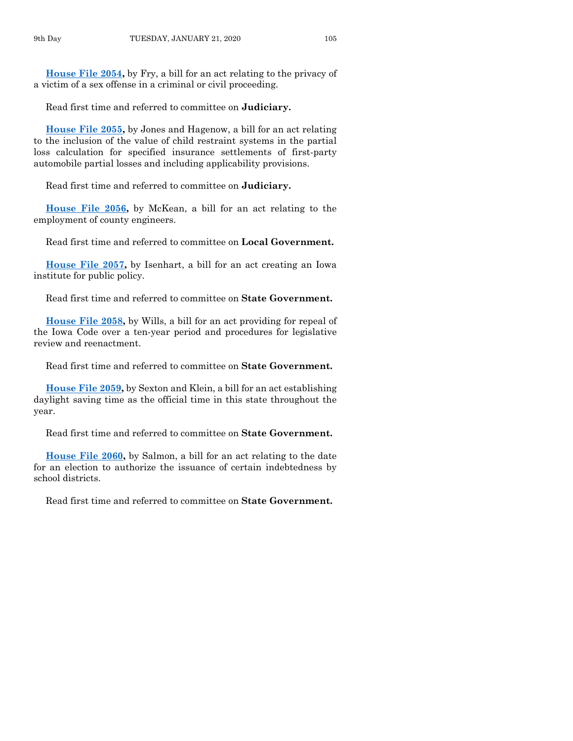**[House File 2054,](https://www.legis.iowa.gov/legislation/BillBook?ga=88&ba=HF2054)** by Fry, a bill for an act relating to the privacy of a victim of a sex offense in a criminal or civil proceeding.

Read first time and referred to committee on **Judiciary.**

**[House File 2055,](https://www.legis.iowa.gov/legislation/BillBook?ga=88&ba=HF2055)** by Jones and Hagenow, a bill for an act relating to the inclusion of the value of child restraint systems in the partial loss calculation for specified insurance settlements of first-party automobile partial losses and including applicability provisions.

Read first time and referred to committee on **Judiciary.**

**[House File 2056,](https://www.legis.iowa.gov/legislation/BillBook?ga=88&ba=HF2056)** by McKean, a bill for an act relating to the employment of county engineers.

Read first time and referred to committee on **Local Government.**

**[House File 2057,](https://www.legis.iowa.gov/legislation/BillBook?ga=88&ba=HF2057)** by Isenhart, a bill for an act creating an Iowa institute for public policy.

Read first time and referred to committee on **State Government.**

**[House File 2058,](https://www.legis.iowa.gov/legislation/BillBook?ga=88&ba=HF2058)** by Wills, a bill for an act providing for repeal of the Iowa Code over a ten-year period and procedures for legislative review and reenactment.

Read first time and referred to committee on **State Government.**

**[House File 2059,](https://www.legis.iowa.gov/legislation/BillBook?ga=88&ba=HF2059)** by Sexton and Klein, a bill for an act establishing daylight saving time as the official time in this state throughout the year.

Read first time and referred to committee on **State Government.**

**[House File 2060,](https://www.legis.iowa.gov/legislation/BillBook?ga=88&ba=HF2060)** by Salmon, a bill for an act relating to the date for an election to authorize the issuance of certain indebtedness by school districts.

Read first time and referred to committee on **State Government.**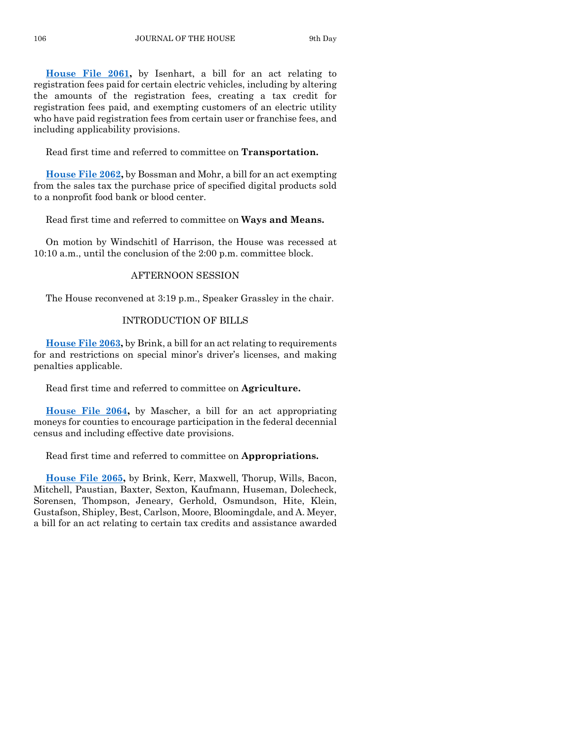**[House File 2061,](https://www.legis.iowa.gov/legislation/BillBook?ga=88&ba=HF2061)** by Isenhart, a bill for an act relating to registration fees paid for certain electric vehicles, including by altering the amounts of the registration fees, creating a tax credit for registration fees paid, and exempting customers of an electric utility who have paid registration fees from certain user or franchise fees, and including applicability provisions.

Read first time and referred to committee on **Transportation.**

**[House File 2062,](https://www.legis.iowa.gov/legislation/BillBook?ga=88&ba=HF2062)** by Bossman and Mohr, a bill for an act exempting from the sales tax the purchase price of specified digital products sold to a nonprofit food bank or blood center.

Read first time and referred to committee on **Ways and Means.**

On motion by Windschitl of Harrison, the House was recessed at 10:10 a.m., until the conclusion of the 2:00 p.m. committee block.

#### AFTERNOON SESSION

The House reconvened at 3:19 p.m., Speaker Grassley in the chair.

#### INTRODUCTION OF BILLS

**[House File 2063,](https://www.legis.iowa.gov/legislation/BillBook?ga=88&ba=HF2063)** by Brink, a bill for an act relating to requirements for and restrictions on special minor's driver's licenses, and making penalties applicable.

Read first time and referred to committee on **Agriculture.**

**[House File 2064,](https://www.legis.iowa.gov/legislation/BillBook?ga=88&ba=HF2064)** by Mascher, a bill for an act appropriating moneys for counties to encourage participation in the federal decennial census and including effective date provisions.

Read first time and referred to committee on **Appropriations.**

**[House File 2065,](https://www.legis.iowa.gov/legislation/BillBook?ga=88&ba=HF2065)** by Brink, Kerr, Maxwell, Thorup, Wills, Bacon, Mitchell, Paustian, Baxter, Sexton, Kaufmann, Huseman, Dolecheck, Sorensen, Thompson, Jeneary, Gerhold, Osmundson, Hite, Klein, Gustafson, Shipley, Best, Carlson, Moore, Bloomingdale, and A. Meyer, a bill for an act relating to certain tax credits and assistance awarded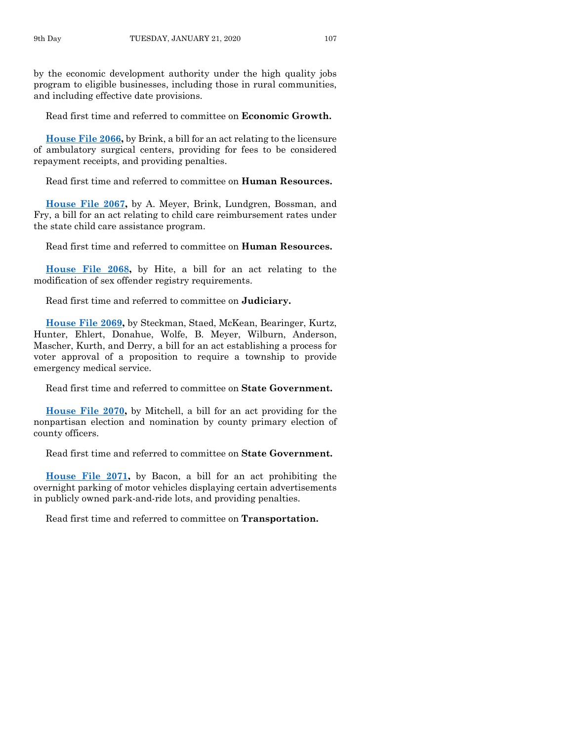by the economic development authority under the high quality jobs program to eligible businesses, including those in rural communities, and including effective date provisions.

Read first time and referred to committee on **Economic Growth.**

**[House File 2066,](https://www.legis.iowa.gov/legislation/BillBook?ga=88&ba=HF2066)** by Brink, a bill for an act relating to the licensure of ambulatory surgical centers, providing for fees to be considered repayment receipts, and providing penalties.

Read first time and referred to committee on **Human Resources.**

**[House File 2067,](https://www.legis.iowa.gov/legislation/BillBook?ga=88&ba=HF2067)** by A. Meyer, Brink, Lundgren, Bossman, and Fry, a bill for an act relating to child care reimbursement rates under the state child care assistance program.

Read first time and referred to committee on **Human Resources.**

**[House File 2068,](https://www.legis.iowa.gov/legislation/BillBook?ga=88&ba=HF2068)** by Hite, a bill for an act relating to the modification of sex offender registry requirements.

Read first time and referred to committee on **Judiciary.**

**[House File 2069,](https://www.legis.iowa.gov/legislation/BillBook?ga=88&ba=HF2069)** by Steckman, Staed, McKean, Bearinger, Kurtz, Hunter, Ehlert, Donahue, Wolfe, B. Meyer, Wilburn, Anderson, Mascher, Kurth, and Derry, a bill for an act establishing a process for voter approval of a proposition to require a township to provide emergency medical service.

Read first time and referred to committee on **State Government.**

**[House File 2070,](https://www.legis.iowa.gov/legislation/BillBook?ga=88&ba=HF2070)** by Mitchell, a bill for an act providing for the nonpartisan election and nomination by county primary election of county officers.

Read first time and referred to committee on **State Government.**

**[House File 2071,](https://www.legis.iowa.gov/legislation/BillBook?ga=88&ba=HF2071)** by Bacon, a bill for an act prohibiting the overnight parking of motor vehicles displaying certain advertisements in publicly owned park-and-ride lots, and providing penalties.

Read first time and referred to committee on **Transportation.**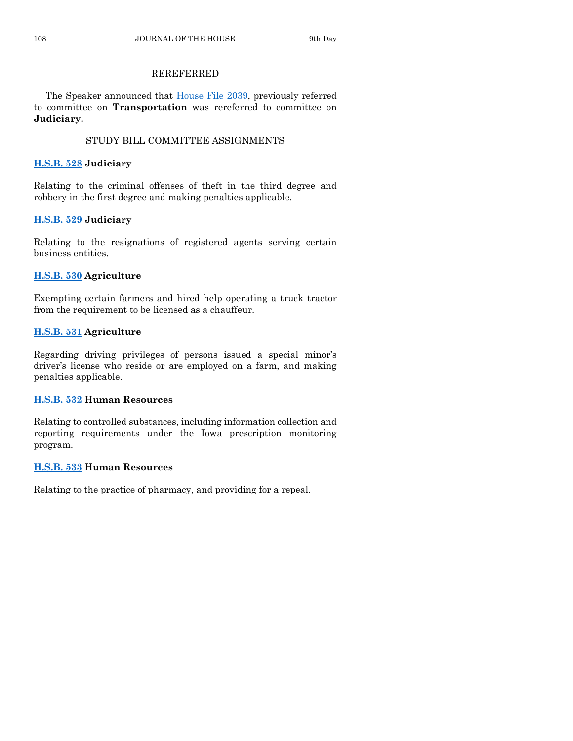#### REREFERRED

The Speaker announced that [House File 2039,](https://www.legis.iowa.gov/legislation/BillBook?ga=88&ba=HF2039) previously referred to committee on **Transportation** was rereferred to committee on **Judiciary.**

#### STUDY BILL COMMITTEE ASSIGNMENTS

#### **[H.S.B. 528](https://www.legis.iowa.gov/legislation/BillBook?ga=88&ba=HSB528) Judiciary**

Relating to the criminal offenses of theft in the third degree and robbery in the first degree and making penalties applicable.

#### **[H.S.B. 529](https://www.legis.iowa.gov/legislation/BillBook?ga=88&ba=HSB529) Judiciary**

Relating to the resignations of registered agents serving certain business entities.

#### **[H.S.B. 530](https://www.legis.iowa.gov/legislation/BillBook?ga=88&ba=HSB530) Agriculture**

Exempting certain farmers and hired help operating a truck tractor from the requirement to be licensed as a chauffeur.

#### **[H.S.B. 531](https://www.legis.iowa.gov/legislation/BillBook?ga=88&ba=HSB531) Agriculture**

Regarding driving privileges of persons issued a special minor's driver's license who reside or are employed on a farm, and making penalties applicable.

#### **[H.S.B. 532](https://www.legis.iowa.gov/legislation/BillBook?ga=88&ba=HSB532) Human Resources**

Relating to controlled substances, including information collection and reporting requirements under the Iowa prescription monitoring program.

#### **[H.S.B. 533](https://www.legis.iowa.gov/legislation/BillBook?ga=88&ba=HSB533) Human Resources**

Relating to the practice of pharmacy, and providing for a repeal.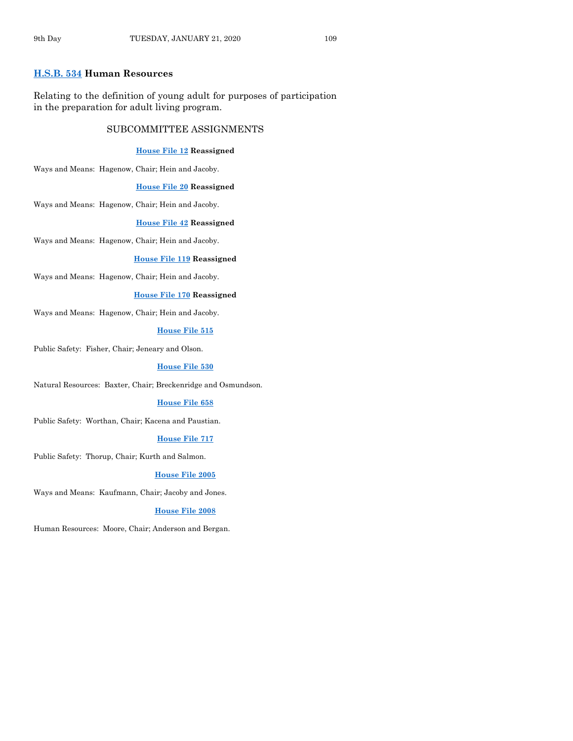#### **[H.S.B. 534](https://www.legis.iowa.gov/legislation/BillBook?ga=88&ba=HSB534) Human Resources**

Relating to the definition of young adult for purposes of participation in the preparation for adult living program.

#### SUBCOMMITTEE ASSIGNMENTS

#### **[House File 12](https://www.legis.iowa.gov/legislation/BillBook?ga=88&ba=HF12) Reassigned**

Ways and Means: Hagenow, Chair; Hein and Jacoby.

#### **[House File 20](https://www.legis.iowa.gov/legislation/BillBook?ga=88&ba=HF20) Reassigned**

Ways and Means: Hagenow, Chair; Hein and Jacoby.

#### **[House File 42](https://www.legis.iowa.gov/legislation/BillBook?ga=88&ba=HF42) Reassigned**

Ways and Means: Hagenow, Chair; Hein and Jacoby.

#### **[House File 119](https://www.legis.iowa.gov/legislation/BillBook?ga=88&ba=HF119) Reassigned**

Ways and Means: Hagenow, Chair; Hein and Jacoby.

#### **[House File 170](https://www.legis.iowa.gov/legislation/BillBook?ga=88&ba=HF170) Reassigned**

Ways and Means: Hagenow, Chair; Hein and Jacoby.

#### **[House File 515](https://www.legis.iowa.gov/legislation/BillBook?ga=88&ba=HF515)**

Public Safety: Fisher, Chair; Jeneary and Olson.

#### **[House File 530](https://www.legis.iowa.gov/legislation/BillBook?ga=88&ba=HF530)**

Natural Resources: Baxter, Chair; Breckenridge and Osmundson.

#### **[House File 658](https://www.legis.iowa.gov/legislation/BillBook?ga=88&ba=HF658)**

Public Safety: Worthan, Chair; Kacena and Paustian.

#### **[House File 717](https://www.legis.iowa.gov/legislation/BillBook?ga=88&ba=HF717)**

Public Safety: Thorup, Chair; Kurth and Salmon.

#### **[House File 2005](https://www.legis.iowa.gov/legislation/BillBook?ga=88&ba=HF2005)**

Ways and Means: Kaufmann, Chair; Jacoby and Jones.

#### **[House File 2008](https://www.legis.iowa.gov/legislation/BillBook?ga=88&ba=HF2008)**

Human Resources: Moore, Chair; Anderson and Bergan.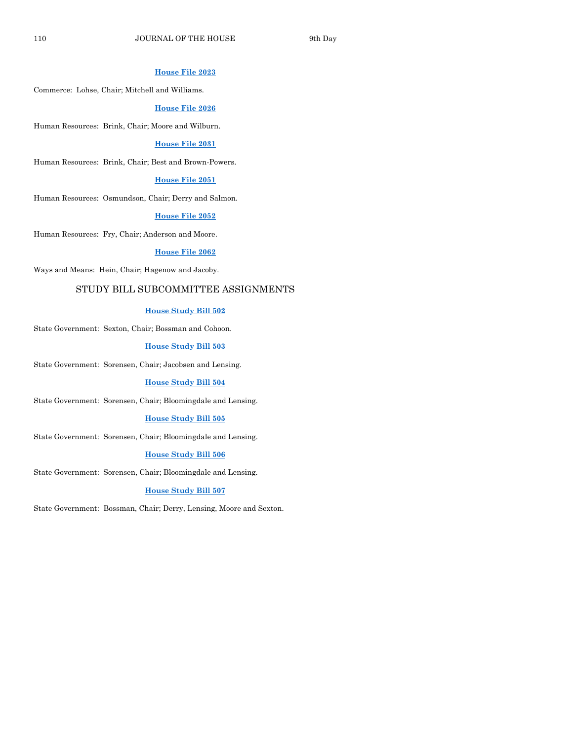#### **[House File 2023](https://www.legis.iowa.gov/legislation/BillBook?ga=88&ba=HF2023)**

Commerce: Lohse, Chair; Mitchell and Williams.

#### **[House File 2026](https://www.legis.iowa.gov/legislation/BillBook?ga=88&ba=HF2026)**

Human Resources: Brink, Chair; Moore and Wilburn.

#### **[House File 2031](https://www.legis.iowa.gov/legislation/BillBook?ga=88&ba=HF2031)**

Human Resources: Brink, Chair; Best and Brown-Powers.

#### **[House File 2051](https://www.legis.iowa.gov/legislation/BillBook?ga=88&ba=HF2051)**

Human Resources: Osmundson, Chair; Derry and Salmon.

#### **[House File 2052](https://www.legis.iowa.gov/legislation/BillBook?ga=88&ba=HF2052)**

Human Resources: Fry, Chair; Anderson and Moore.

#### **[House File 2062](https://www.legis.iowa.gov/legislation/BillBook?ga=88&ba=HF2062)**

Ways and Means: Hein, Chair; Hagenow and Jacoby.

#### STUDY BILL SUBCOMMITTEE ASSIGNMENTS

#### **[House Study Bill 502](https://www.legis.iowa.gov/legislation/BillBook?ga=88&ba=HSB502)**

State Government: Sexton, Chair; Bossman and Cohoon.

#### **[House Study Bill 503](https://www.legis.iowa.gov/legislation/BillBook?ga=88&ba=HSB503)**

State Government: Sorensen, Chair; Jacobsen and Lensing.

#### **[House Study Bill 504](https://www.legis.iowa.gov/legislation/BillBook?ga=88&ba=HSB504)**

State Government: Sorensen, Chair; Bloomingdale and Lensing.

#### **[House Study Bill 505](https://www.legis.iowa.gov/legislation/BillBook?ga=88&ba=HSB505)**

State Government: Sorensen, Chair; Bloomingdale and Lensing.

#### **[House Study Bill 506](https://www.legis.iowa.gov/legislation/BillBook?ga=88&ba=HSB506)**

State Government: Sorensen, Chair; Bloomingdale and Lensing.

#### **[House Study Bill 507](https://www.legis.iowa.gov/legislation/BillBook?ga=88&ba=HSB507)**

State Government: Bossman, Chair; Derry, Lensing, Moore and Sexton.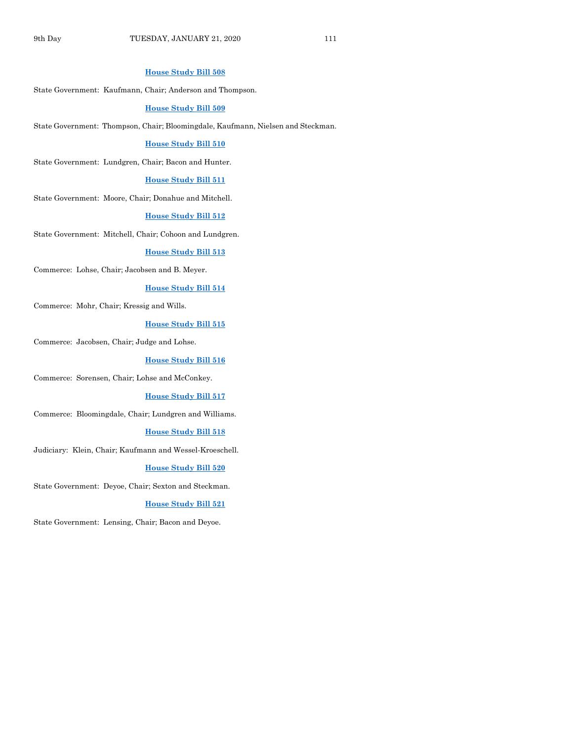#### **[House Study Bill 508](https://www.legis.iowa.gov/legislation/BillBook?ga=88&ba=HSB508)**

State Government: Kaufmann, Chair; Anderson and Thompson.

#### **[House Study Bill 509](https://www.legis.iowa.gov/legislation/BillBook?ga=88&ba=HSB509)**

State Government: Thompson, Chair; Bloomingdale, Kaufmann, Nielsen and Steckman.

#### **[House Study Bill 510](https://www.legis.iowa.gov/legislation/BillBook?ga=88&ba=HSB510)**

State Government: Lundgren, Chair; Bacon and Hunter.

#### **[House Study Bill 511](https://www.legis.iowa.gov/legislation/BillBook?ga=88&ba=HSB511)**

State Government: Moore, Chair; Donahue and Mitchell.

#### **[House Study Bill 512](https://www.legis.iowa.gov/legislation/BillBook?ga=88&ba=HSB512)**

State Government: Mitchell, Chair; Cohoon and Lundgren.

#### **[House Study Bill 513](https://www.legis.iowa.gov/legislation/BillBook?ga=88&ba=HSB513)**

Commerce: Lohse, Chair; Jacobsen and B. Meyer.

#### **[House Study Bill 514](https://www.legis.iowa.gov/legislation/BillBook?ga=88&ba=HSB514)**

Commerce: Mohr, Chair; Kressig and Wills.

#### **[House Study Bill 515](https://www.legis.iowa.gov/legislation/BillBook?ga=88&ba=HSB515)**

Commerce: Jacobsen, Chair; Judge and Lohse.

#### **[House Study Bill 516](https://www.legis.iowa.gov/legislation/BillBook?ga=88&ba=HSB516)**

Commerce: Sorensen, Chair; Lohse and McConkey.

#### **[House Study Bill 517](https://www.legis.iowa.gov/legislation/BillBook?ga=88&ba=HSB517)**

Commerce: Bloomingdale, Chair; Lundgren and Williams.

#### **[House Study Bill 518](https://www.legis.iowa.gov/legislation/BillBook?ga=88&ba=HSB518)**

Judiciary: Klein, Chair; Kaufmann and Wessel-Kroeschell.

#### **[House Study Bill 520](https://www.legis.iowa.gov/legislation/BillBook?ga=88&ba=HSB520)**

State Government: Deyoe, Chair; Sexton and Steckman.

#### **[House Study Bill 521](https://www.legis.iowa.gov/legislation/BillBook?ga=88&ba=HSB521)**

State Government: Lensing, Chair; Bacon and Deyoe.